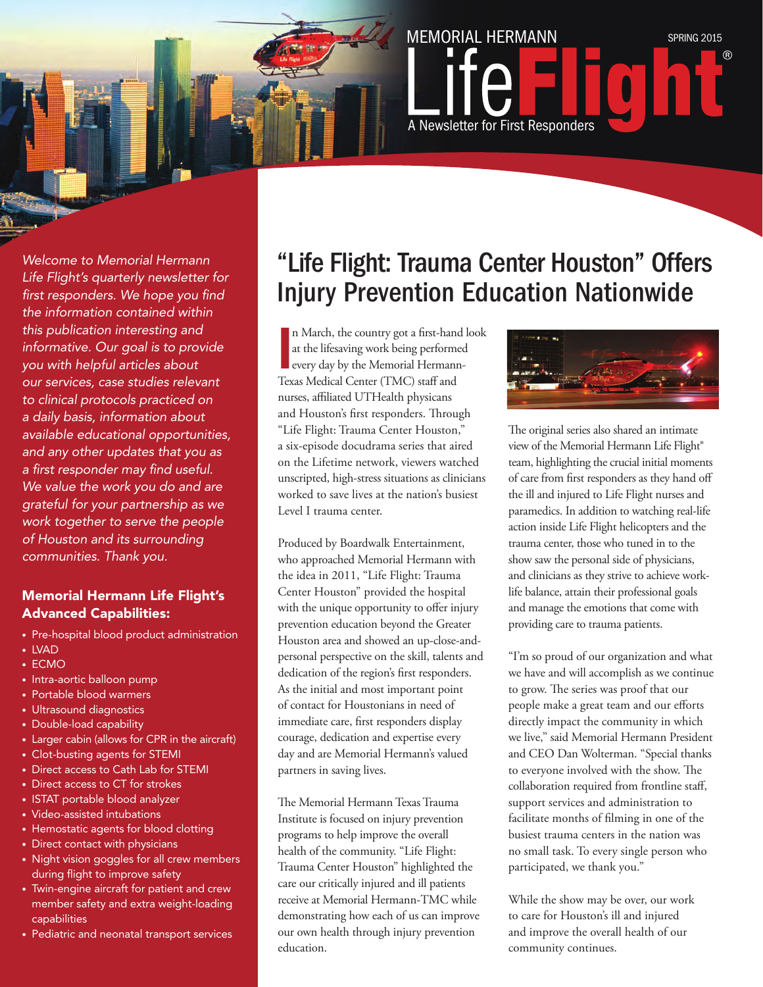*Welcome to Memorial Hermann Life Flight's quarterly newsletter for first responders. We hope you find the information contained within this publication interesting and informative. Our goal is to provide you with helpful articles about our services, case studies relevant to clinical protocols practiced on a daily basis, information about available educational opportunities, and any other updates that you as a first responder may find useful. We value the work you do and are grateful for your partnership as we work together to serve the people of Houston and its surrounding communities. Thank you.* 

#### Memorial Hermann Life Flight's Advanced Capabilities:

- Pre-hospital blood product administration
- LVAD
- ECMO
- Intra-aortic balloon pump
- Portable blood warmers
- Ultrasound diagnostics
- Double-load capability
- Larger cabin (allows for CPR in the aircraft)
- Clot-busting agents for STEMI
- Direct access to Cath Lab for STEMI
- Direct access to CT for strokes
- ISTAT portable blood analyzer
- Video-assisted intubations
- Hemostatic agents for blood clotting
- Direct contact with physicians
- Night vision goggles for all crew members during flight to improve safety
- Twin-engine aircraft for patient and crew member safety and extra weight-loading capabilities
- Pediatric and neonatal transport services

### "Life Flight: Trauma Center Houston" Offers Injury Prevention Education Nationwide

A Newsletter for First Responders

MEMORIAL HERMANN SPRING 2015

In March, the country got a first-hand at the lifesaving work being performed every day by the Memorial Hermann Texas Medical Center (TMC) staff and n March, the country got a first-hand look at the lifesaving work being performed every day by the Memorial Hermannnurses, affiliated UTHealth physicans and Houston's first responders. Through "Life Flight: Trauma Center Houston," a six-episode docudrama series that aired on the Lifetime network, viewers watched unscripted, high-stress situations as clinicians worked to save lives at the nation's busiest Level I trauma center.

Produced by Boardwalk Entertainment, who approached Memorial Hermann with the idea in 2011, "Life Flight: Trauma Center Houston" provided the hospital with the unique opportunity to offer injury prevention education beyond the Greater Houston area and showed an up-close-andpersonal perspective on the skill, talents and dedication of the region's first responders. As the initial and most important point of contact for Houstonians in need of immediate care, first responders display courage, dedication and expertise every day and are Memorial Hermann's valued partners in saving lives.

The Memorial Hermann Texas Trauma Institute is focused on injury prevention programs to help improve the overall health of the community. "Life Flight: Trauma Center Houston" highlighted the care our critically injured and ill patients receive at Memorial Hermann-TMC while demonstrating how each of us can improve our own health through injury prevention education.



The original series also shared an intimate view of the Memorial Hermann Life Flight® team, highlighting the crucial initial moments of care from first responders as they hand off the ill and injured to Life Flight nurses and paramedics. In addition to watching real-life action inside Life Flight helicopters and the trauma center, those who tuned in to the show saw the personal side of physicians, and clinicians as they strive to achieve worklife balance, attain their professional goals and manage the emotions that come with providing care to trauma patients.

"I'm so proud of our organization and what we have and will accomplish as we continue to grow. The series was proof that our people make a great team and our efforts directly impact the community in which we live," said Memorial Hermann President and CEO Dan Wolterman. "Special thanks to everyone involved with the show. The collaboration required from frontline staff, support services and administration to facilitate months of filming in one of the busiest trauma centers in the nation was no small task. To every single person who participated, we thank you."

While the show may be over, our work to care for Houston's ill and injured and improve the overall health of our community continues.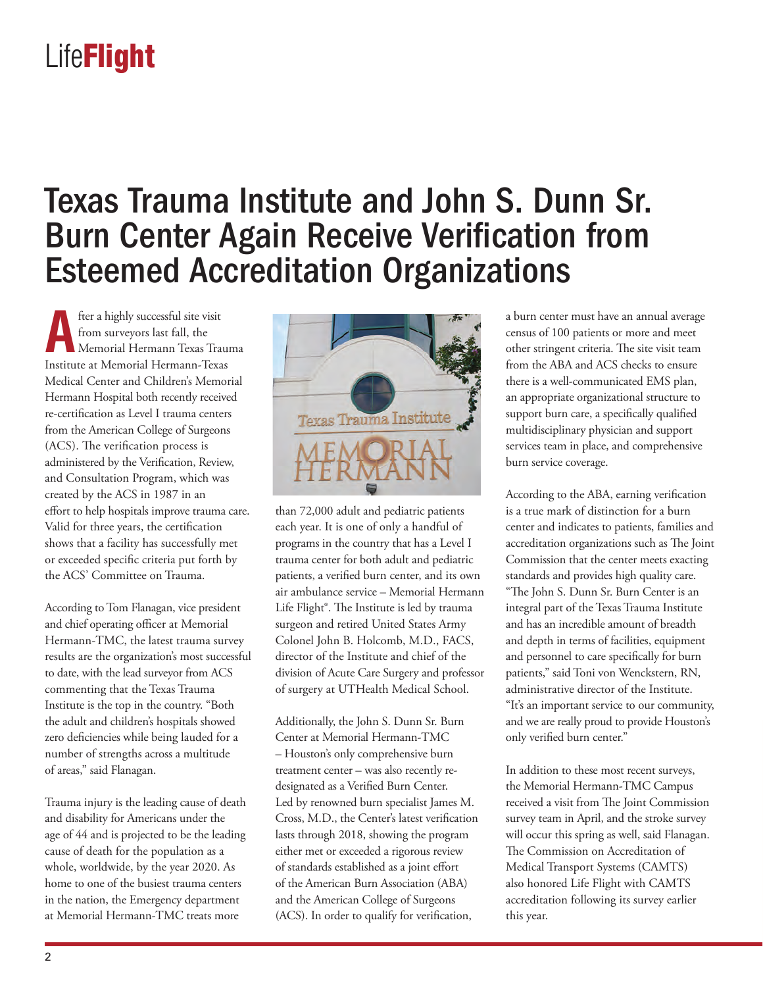### Texas Trauma Institute and John S. Dunn Sr. Burn Center Again Receive Verification from Esteemed Accreditation Organizations

fter a highly successful site visit from surveyors last fall, the Memorial Hermann Texas Trauma Institute at Memorial Hermann-Texas Medical Center and Children's Memorial Hermann Hospital both recently received re-certification as Level I trauma centers from the American College of Surgeons (ACS). The verification process is administered by the Verification, Review, and Consultation Program, which was created by the ACS in 1987 in an effort to help hospitals improve trauma care. Valid for three years, the certification shows that a facility has successfully met or exceeded specific criteria put forth by the ACS' Committee on Trauma.

According to Tom Flanagan, vice president and chief operating officer at Memorial Hermann-TMC, the latest trauma survey results are the organization's most successful to date, with the lead surveyor from ACS commenting that the Texas Trauma Institute is the top in the country. "Both the adult and children's hospitals showed zero deficiencies while being lauded for a number of strengths across a multitude of areas," said Flanagan.

Trauma injury is the leading cause of death and disability for Americans under the age of 44 and is projected to be the leading cause of death for the population as a whole, worldwide, by the year 2020. As home to one of the busiest trauma centers in the nation, the Emergency department at Memorial Hermann-TMC treats more



than 72,000 adult and pediatric patients each year. It is one of only a handful of programs in the country that has a Level I trauma center for both adult and pediatric patients, a verified burn center, and its own air ambulance service – Memorial Hermann Life Flight®. The Institute is led by trauma surgeon and retired United States Army Colonel John B. Holcomb, M.D., FACS, director of the Institute and chief of the division of Acute Care Surgery and professor of surgery at UTHealth Medical School.

Additionally, the John S. Dunn Sr. Burn Center at Memorial Hermann-TMC – Houston's only comprehensive burn treatment center – was also recently redesignated as a Verified Burn Center. Led by renowned burn specialist James M. Cross, M.D., the Center's latest verification lasts through 2018, showing the program either met or exceeded a rigorous review of standards established as a joint effort of the American Burn Association (ABA) and the American College of Surgeons (ACS). In order to qualify for verification,

a burn center must have an annual average census of 100 patients or more and meet other stringent criteria. The site visit team from the ABA and ACS checks to ensure there is a well-communicated EMS plan, an appropriate organizational structure to support burn care, a specifically qualified multidisciplinary physician and support services team in place, and comprehensive burn service coverage.

According to the ABA, earning verification is a true mark of distinction for a burn center and indicates to patients, families and accreditation organizations such as The Joint Commission that the center meets exacting standards and provides high quality care. "The John S. Dunn Sr. Burn Center is an integral part of the Texas Trauma Institute and has an incredible amount of breadth and depth in terms of facilities, equipment and personnel to care specifically for burn patients," said Toni von Wenckstern, RN, administrative director of the Institute. "It's an important service to our community, and we are really proud to provide Houston's only verified burn center."

In addition to these most recent surveys, the Memorial Hermann-TMC Campus received a visit from The Joint Commission survey team in April, and the stroke survey will occur this spring as well, said Flanagan. The Commission on Accreditation of Medical Transport Systems (CAMTS) also honored Life Flight with CAMTS accreditation following its survey earlier this year.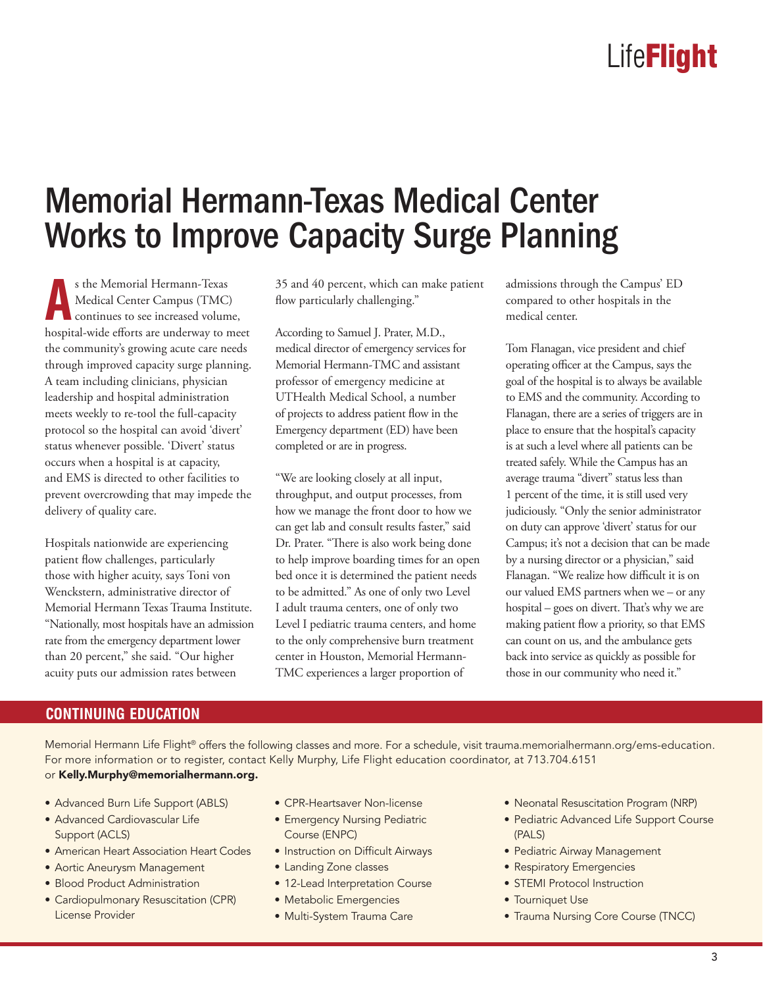### Memorial Hermann-Texas Medical Center Works to Improve Capacity Surge Planning

s the Memorial Hermann-Texas<br>
Medical Center Campus (TMC)<br>
continues to see increased volume,<br>
hospital-wide efforts are underway to meet s the Memorial Hermann-Texas Medical Center Campus (TMC) continues to see increased volume, the community's growing acute care needs through improved capacity surge planning. A team including clinicians, physician leadership and hospital administration meets weekly to re-tool the full-capacity protocol so the hospital can avoid 'divert' status whenever possible. 'Divert' status occurs when a hospital is at capacity, and EMS is directed to other facilities to prevent overcrowding that may impede the delivery of quality care.

Hospitals nationwide are experiencing patient flow challenges, particularly those with higher acuity, says Toni von Wenckstern, administrative director of Memorial Hermann Texas Trauma Institute. "Nationally, most hospitals have an admission rate from the emergency department lower than 20 percent," she said. "Our higher acuity puts our admission rates between

35 and 40 percent, which can make patient flow particularly challenging."

According to Samuel J. Prater, M.D., medical director of emergency services for Memorial Hermann-TMC and assistant professor of emergency medicine at UTHealth Medical School, a number of projects to address patient flow in the Emergency department (ED) have been completed or are in progress.

"We are looking closely at all input, throughput, and output processes, from how we manage the front door to how we can get lab and consult results faster," said Dr. Prater. "There is also work being done to help improve boarding times for an open bed once it is determined the patient needs to be admitted." As one of only two Level I adult trauma centers, one of only two Level I pediatric trauma centers, and home to the only comprehensive burn treatment center in Houston, Memorial Hermann-TMC experiences a larger proportion of

admissions through the Campus' ED compared to other hospitals in the medical center.

Tom Flanagan, vice president and chief operating officer at the Campus, says the goal of the hospital is to always be available to EMS and the community. According to Flanagan, there are a series of triggers are in place to ensure that the hospital's capacity is at such a level where all patients can be treated safely. While the Campus has an average trauma "divert" status less than 1 percent of the time, it is still used very judiciously. "Only the senior administrator on duty can approve 'divert' status for our Campus; it's not a decision that can be made by a nursing director or a physician," said Flanagan. "We realize how difficult it is on our valued EMS partners when we – or any hospital – goes on divert. That's why we are making patient flow a priority, so that EMS can count on us, and the ambulance gets back into service as quickly as possible for those in our community who need it."

#### **CONTINUING EDUCATION**

Memorial Hermann Life Flight® offers the following classes and more. For a schedule, visit trauma.memorialhermann.org/ems-education. For more information or to register, contact Kelly Murphy, Life Flight education coordinator, at 713.704.6151 or Kelly.Murphy@memorialhermann.org.

- Advanced Burn Life Support (ABLS)
- Advanced Cardiovascular Life Support (ACLS)
- American Heart Association Heart Codes
- Aortic Aneurysm Management
- Blood Product Administration
- Cardiopulmonary Resuscitation (CPR) License Provider
- CPR-Heartsaver Non-license
- Emergency Nursing Pediatric Course (ENPC)
- Instruction on Difficult Airways
- Landing Zone classes
- 12-Lead Interpretation Course
- Metabolic Emergencies
- Multi-System Trauma Care
- Neonatal Resuscitation Program (NRP)
- Pediatric Advanced Life Support Course (PALS)
- Pediatric Airway Management
- Respiratory Emergencies
- STEMI Protocol Instruction
- Tourniquet Use
- Trauma Nursing Core Course (TNCC)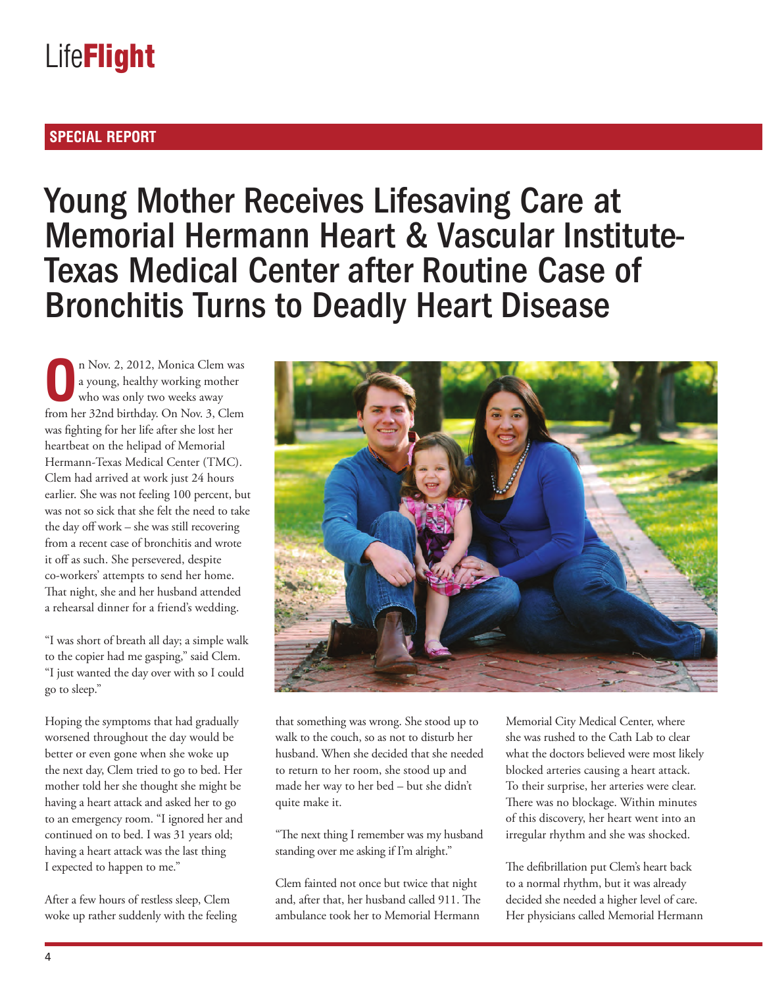#### **SPECIAL REPORT**

### Young Mother Receives Lifesaving Care at Memorial Hermann Heart & Vascular Institute-Texas Medical Center after Routine Case of Bronchitis Turns to Deadly Heart Disease

**O**n Nov. 2, 2012, Monica Clem was<br>a young, healthy working mother<br>who was only two weeks away a young, healthy working mother who was only two weeks away from her 32nd birthday. On Nov. 3, Clem was fighting for her life after she lost her heartbeat on the helipad of Memorial Hermann-Texas Medical Center (TMC). Clem had arrived at work just 24 hours earlier. She was not feeling 100 percent, but was not so sick that she felt the need to take the day off work – she was still recovering from a recent case of bronchitis and wrote it off as such. She persevered, despite co-workers' attempts to send her home. That night, she and her husband attended a rehearsal dinner for a friend's wedding.

"I was short of breath all day; a simple walk to the copier had me gasping," said Clem. "I just wanted the day over with so I could go to sleep."

Hoping the symptoms that had gradually worsened throughout the day would be better or even gone when she woke up the next day, Clem tried to go to bed. Her mother told her she thought she might be having a heart attack and asked her to go to an emergency room. "I ignored her and continued on to bed. I was 31 years old; having a heart attack was the last thing I expected to happen to me."

After a few hours of restless sleep, Clem woke up rather suddenly with the feeling



that something was wrong. She stood up to walk to the couch, so as not to disturb her husband. When she decided that she needed to return to her room, she stood up and made her way to her bed – but she didn't quite make it.

"The next thing I remember was my husband standing over me asking if I'm alright."

Clem fainted not once but twice that night and, after that, her husband called 911. The ambulance took her to Memorial Hermann

Memorial City Medical Center, where she was rushed to the Cath Lab to clear what the doctors believed were most likely blocked arteries causing a heart attack. To their surprise, her arteries were clear. There was no blockage. Within minutes of this discovery, her heart went into an irregular rhythm and she was shocked.

The defibrillation put Clem's heart back to a normal rhythm, but it was already decided she needed a higher level of care. Her physicians called Memorial Hermann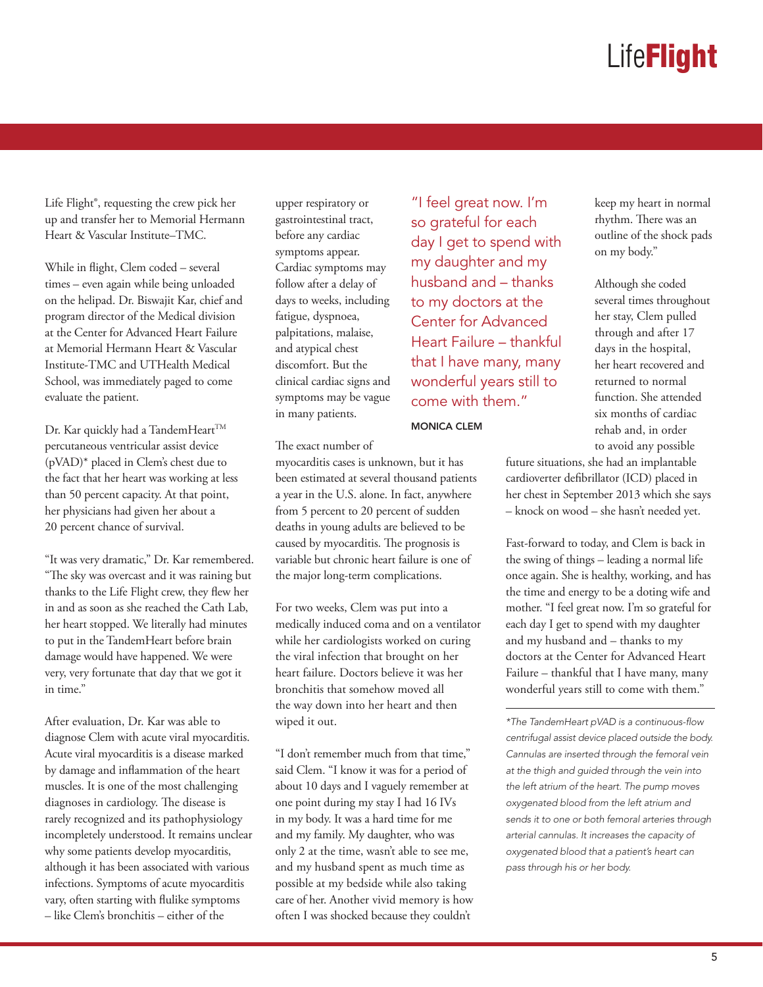Life Flight®, requesting the crew pick her up and transfer her to Memorial Hermann Heart & Vascular Institute–TMC.

While in flight, Clem coded – several times – even again while being unloaded on the helipad. Dr. Biswajit Kar, chief and program director of the Medical division at the Center for Advanced Heart Failure at Memorial Hermann Heart & Vascular Institute-TMC and UTHealth Medical School, was immediately paged to come evaluate the patient.

Dr. Kar quickly had a TandemHeart<sup>™</sup> percutaneous ventricular assist device (pVAD)\* placed in Clem's chest due to the fact that her heart was working at less than 50 percent capacity. At that point, her physicians had given her about a 20 percent chance of survival.

"It was very dramatic," Dr. Kar remembered. "The sky was overcast and it was raining but thanks to the Life Flight crew, they flew her in and as soon as she reached the Cath Lab, her heart stopped. We literally had minutes to put in the TandemHeart before brain damage would have happened. We were very, very fortunate that day that we got it in time"

After evaluation, Dr. Kar was able to diagnose Clem with acute viral myocarditis. Acute viral myocarditis is a disease marked by damage and inflammation of the heart muscles. It is one of the most challenging diagnoses in cardiology. The disease is rarely recognized and its pathophysiology incompletely understood. It remains unclear why some patients develop myocarditis, although it has been associated with various infections. Symptoms of acute myocarditis vary, often starting with flulike symptoms – like Clem's bronchitis – either of the

upper respiratory or gastrointestinal tract, before any cardiac symptoms appear. Cardiac symptoms may follow after a delay of days to weeks, including fatigue, dyspnoea, palpitations, malaise, and atypical chest discomfort. But the clinical cardiac signs and symptoms may be vague in many patients.

"I feel great now. I'm so grateful for each day I get to spend with my daughter and my husband and – thanks to my doctors at the Center for Advanced Heart Failure – thankful that I have many, many wonderful years still to come with them."

MONICA CLEM

keep my heart in normal rhythm. There was an outline of the shock pads on my body."

Although she coded several times throughout her stay, Clem pulled through and after 17 days in the hospital, her heart recovered and returned to normal function. She attended six months of cardiac rehab and, in order to avoid any possible

The exact number of

myocarditis cases is unknown, but it has been estimated at several thousand patients a year in the U.S. alone. In fact, anywhere from 5 percent to 20 percent of sudden deaths in young adults are believed to be caused by myocarditis. The prognosis is variable but chronic heart failure is one of the major long-term complications.

For two weeks, Clem was put into a medically induced coma and on a ventilator while her cardiologists worked on curing the viral infection that brought on her heart failure. Doctors believe it was her bronchitis that somehow moved all the way down into her heart and then wiped it out.

"I don't remember much from that time," said Clem. "I know it was for a period of about 10 days and I vaguely remember at one point during my stay I had 16 IVs in my body. It was a hard time for me and my family. My daughter, who was only 2 at the time, wasn't able to see me, and my husband spent as much time as possible at my bedside while also taking care of her. Another vivid memory is how often I was shocked because they couldn't

future situations, she had an implantable cardioverter defibrillator (ICD) placed in her chest in September 2013 which she says – knock on wood – she hasn't needed yet.

Fast-forward to today, and Clem is back in the swing of things – leading a normal life once again. She is healthy, working, and has the time and energy to be a doting wife and mother. "I feel great now. I'm so grateful for each day I get to spend with my daughter and my husband and – thanks to my doctors at the Center for Advanced Heart Failure – thankful that I have many, many wonderful years still to come with them."

*\*The TandemHeart pVAD is a continuous-flow centrifugal assist device placed outside the body. Cannulas are inserted through the femoral vein at the thigh and guided through the vein into the left atrium of the heart. The pump moves oxygenated blood from the left atrium and sends it to one or both femoral arteries through arterial cannulas. It increases the capacity of oxygenated blood that a patient's heart can pass through his or her body.*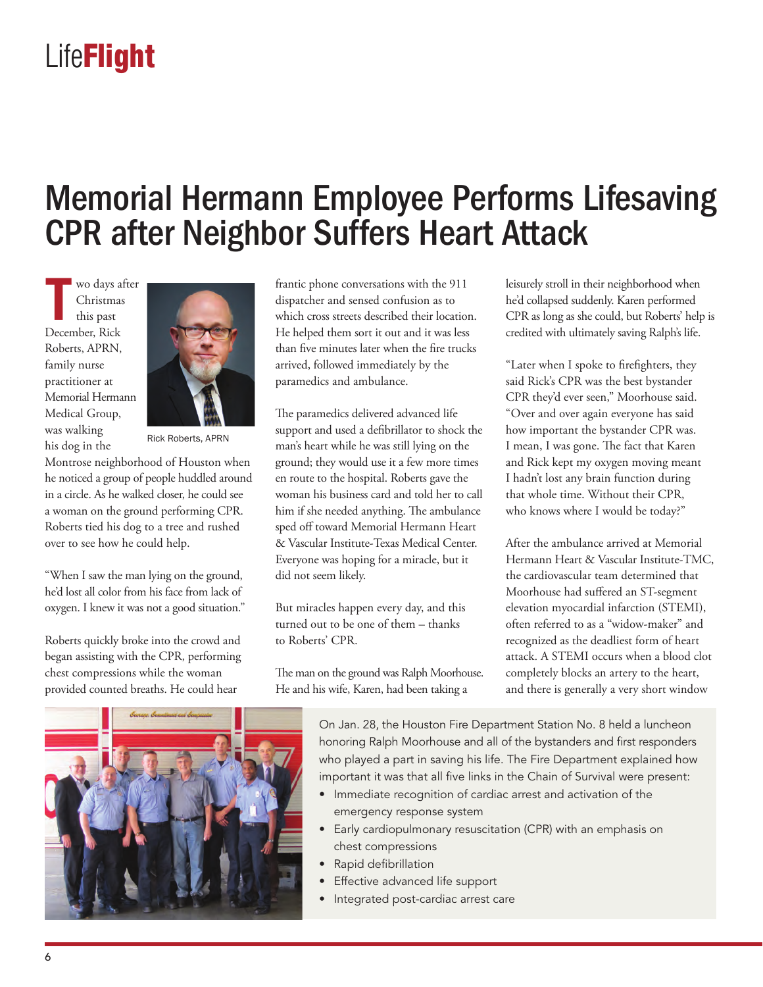### Memorial Hermann Employee Performs Lifesaving CPR after Neighbor Suffers Heart Attack

**T** wo days after Christmas this past December, Rick Roberts, APRN, family nurse practitioner at Memorial Hermann Medical Group, was walking his dog in the



Rick Roberts, APRN

Montrose neighborhood of Houston when he noticed a group of people huddled around in a circle. As he walked closer, he could see a woman on the ground performing CPR. Roberts tied his dog to a tree and rushed over to see how he could help.

"When I saw the man lying on the ground, he'd lost all color from his face from lack of oxygen. I knew it was not a good situation."

Roberts quickly broke into the crowd and began assisting with the CPR, performing chest compressions while the woman provided counted breaths. He could hear

frantic phone conversations with the 911 dispatcher and sensed confusion as to which cross streets described their location. He helped them sort it out and it was less than five minutes later when the fire trucks arrived, followed immediately by the paramedics and ambulance.

The paramedics delivered advanced life support and used a defibrillator to shock the man's heart while he was still lying on the ground; they would use it a few more times en route to the hospital. Roberts gave the woman his business card and told her to call him if she needed anything. The ambulance sped off toward Memorial Hermann Heart & Vascular Institute-Texas Medical Center. Everyone was hoping for a miracle, but it did not seem likely.

But miracles happen every day, and this turned out to be one of them – thanks to Roberts' CPR.

The man on the ground was Ralph Moorhouse. He and his wife, Karen, had been taking a

leisurely stroll in their neighborhood when he'd collapsed suddenly. Karen performed CPR as long as she could, but Roberts' help is credited with ultimately saving Ralph's life.

"Later when I spoke to firefighters, they said Rick's CPR was the best bystander CPR they'd ever seen," Moorhouse said. "Over and over again everyone has said how important the bystander CPR was. I mean, I was gone. The fact that Karen and Rick kept my oxygen moving meant I hadn't lost any brain function during that whole time. Without their CPR, who knows where I would be today?"

After the ambulance arrived at Memorial Hermann Heart & Vascular Institute-TMC, the cardiovascular team determined that Moorhouse had suffered an ST-segment elevation myocardial infarction (STEMI), often referred to as a "widow-maker" and recognized as the deadliest form of heart attack. A STEMI occurs when a blood clot completely blocks an artery to the heart, and there is generally a very short window



On Jan. 28, the Houston Fire Department Station No. 8 held a luncheon honoring Ralph Moorhouse and all of the bystanders and first responders who played a part in saving his life. The Fire Department explained how important it was that all five links in the Chain of Survival were present:

- Immediate recognition of cardiac arrest and activation of the emergency response system
- Early cardiopulmonary resuscitation (CPR) with an emphasis on chest compressions
- Rapid defibrillation
- Effective advanced life support
- Integrated post-cardiac arrest care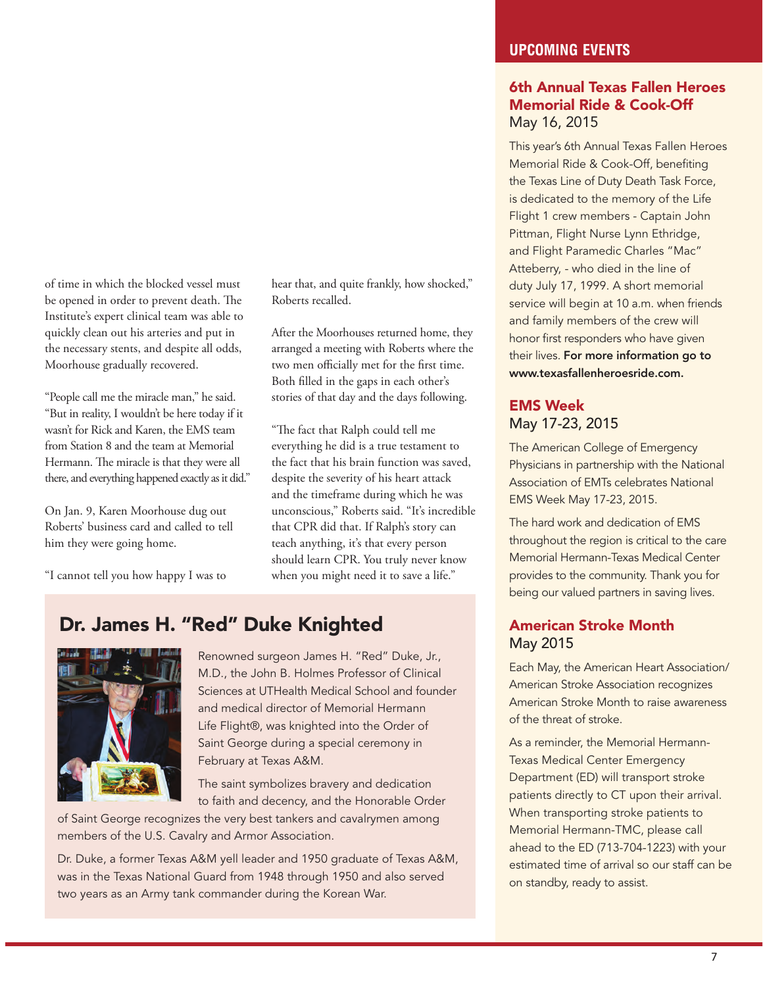of time in which the blocked vessel must be opened in order to prevent death. The Institute's expert clinical team was able to quickly clean out his arteries and put in the necessary stents, and despite all odds, Moorhouse gradually recovered.

"People call me the miracle man," he said. "But in reality, I wouldn't be here today if it wasn't for Rick and Karen, the EMS team from Station 8 and the team at Memorial Hermann. The miracle is that they were all there, and everything happened exactly as it did."

On Jan. 9, Karen Moorhouse dug out Roberts' business card and called to tell him they were going home.

"I cannot tell you how happy I was to

hear that, and quite frankly, how shocked," Roberts recalled.

After the Moorhouses returned home, they arranged a meeting with Roberts where the two men officially met for the first time. Both filled in the gaps in each other's stories of that day and the days following.

"The fact that Ralph could tell me everything he did is a true testament to the fact that his brain function was saved, despite the severity of his heart attack and the timeframe during which he was unconscious," Roberts said. "It's incredible that CPR did that. If Ralph's story can teach anything, it's that every person should learn CPR. You truly never know when you might need it to save a life."

#### Dr. James H. "Red" Duke Knighted



Renowned surgeon James H. "Red" Duke, Jr., M.D., the John B. Holmes Professor of Clinical Sciences at UTHealth Medical School and founder and medical director of Memorial Hermann Life Flight®, was knighted into the Order of Saint George during a special ceremony in February at Texas A&M.

The saint symbolizes bravery and dedication to faith and decency, and the Honorable Order

of Saint George recognizes the very best tankers and cavalrymen among members of the U.S. Cavalry and Armor Association.

Dr. Duke, a former Texas A&M yell leader and 1950 graduate of Texas A&M, was in the Texas National Guard from 1948 through 1950 and also served two years as an Army tank commander during the Korean War.

#### **UPCOMING EVENTS**

#### 6th Annual Texas Fallen Heroes Memorial Ride & Cook-Off May 16, 2015

This year's 6th Annual Texas Fallen Heroes Memorial Ride & Cook-Off, benefiting the Texas Line of Duty Death Task Force, is dedicated to the memory of the Life Flight 1 crew members - Captain John Pittman, Flight Nurse Lynn Ethridge, and Flight Paramedic Charles "Mac" Atteberry, - who died in the line of duty July 17, 1999. A short memorial service will begin at 10 a.m. when friends and family members of the crew will honor first responders who have given their lives. For more information go to www.texasfallenheroesride.com.

#### EMS Week May 17-23, 2015

The American College of Emergency Physicians in partnership with the National Association of EMTs celebrates National EMS Week May 17-23, 2015.

The hard work and dedication of EMS throughout the region is critical to the care Memorial Hermann-Texas Medical Center provides to the community. Thank you for being our valued partners in saving lives.

#### American Stroke Month May 2015

Each May, the American Heart Association/ American Stroke Association recognizes American Stroke Month to raise awareness of the threat of stroke.

As a reminder, the Memorial Hermann-Texas Medical Center Emergency Department (ED) will transport stroke patients directly to CT upon their arrival. When transporting stroke patients to Memorial Hermann-TMC, please call ahead to the ED (713-704-1223) with your estimated time of arrival so our staff can be on standby, ready to assist.